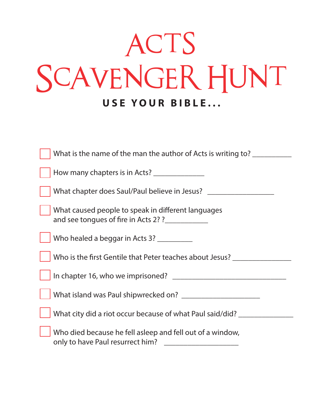## ACTS SCAVENGER HUNT **USE YOUR BIBLE...**

| What is the name of the man the author of Acts is writing to?                                          |
|--------------------------------------------------------------------------------------------------------|
| How many chapters is in Acts? ________________                                                         |
| What chapter does Saul/Paul believe in Jesus?                                                          |
| What caused people to speak in different languages<br>and see tongues of fire in Acts 2? ? ___________ |
| Who healed a beggar in Acts 3? _________                                                               |
| Who is the first Gentile that Peter teaches about Jesus? _______________________                       |
|                                                                                                        |
|                                                                                                        |
| What city did a riot occur because of what Paul said/did?                                              |
| Who died because he fell asleep and fell out of a window,<br>only to have Paul resurrect him?          |